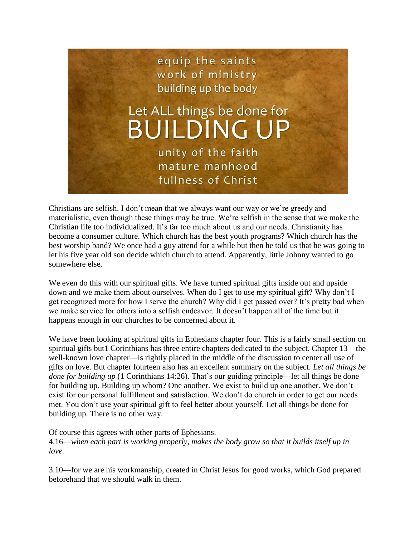

Christians are selfish. I don't mean that we always want our way or we're greedy and materialistic, even though these things may be true. We're selfish in the sense that we make the Christian life too individualized. It's far too much about us and our needs. Christianity has become a consumer culture. Which church has the best youth programs? Which church has the best worship band? We once had a guy attend for a while but then he told us that he was going to let his five year old son decide which church to attend. Apparently, little Johnny wanted to go somewhere else.

We even do this with our spiritual gifts. We have turned spiritual gifts inside out and upside down and we make them about ourselves. When do I get to use my spiritual gift? Why don't I get recognized more for how I serve the church? Why did I get passed over? It's pretty bad when we make service for others into a selfish endeavor. It doesn't happen all of the time but it happens enough in our churches to be concerned about it.

We have been looking at spiritual gifts in Ephesians chapter four. This is a fairly small section on spiritual gifts but1 Corinthians has three entire chapters dedicated to the subject. Chapter 13—the well-known love chapter—is rightly placed in the middle of the discussion to center all use of gifts on love. But chapter fourteen also has an excellent summary on the subject. *Let all things be done for building up* (1 Corinthians 14:26). That's our guiding principle—let all things be done for building up. Building up whom? One another. We exist to build up one another. We don't exist for our personal fulfillment and satisfaction. We don't do church in order to get our needs met. You don't use your spiritual gift to feel better about yourself. Let all things be done for building up. There is no other way.

Of course this agrees with other parts of Ephesians. 4.16—*when each part is working properly, makes the body grow so that it builds itself up in love.*

3.10—for we are his workmanship, created in Christ Jesus for good works, which God prepared beforehand that we should walk in them.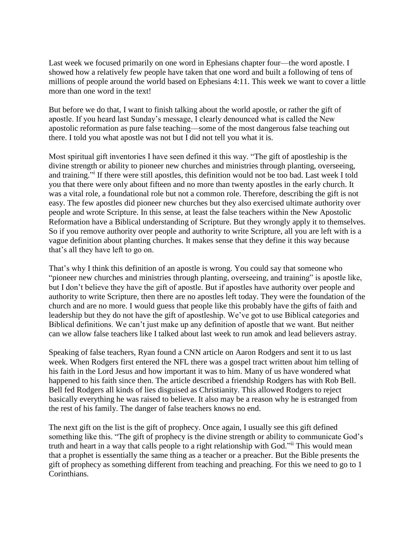Last week we focused primarily on one word in Ephesians chapter four—the word apostle. I showed how a relatively few people have taken that one word and built a following of tens of millions of people around the world based on Ephesians 4:11. This week we want to cover a little more than one word in the text!

But before we do that, I want to finish talking about the world apostle, or rather the gift of apostle. If you heard last Sunday's message, I clearly denounced what is called the New apostolic reformation as pure false teaching—some of the most dangerous false teaching out there. I told you what apostle was not but I did not tell you what it is.

Most spiritual gift inventories I have seen defined it this way. "The gift of apostleship is the divine strength or ability to pioneer new churches and ministries through planting, overseeing, and training." If there were still apostles, this definition would not be too bad. Last week I told you that there were only about fifteen and no more than twenty apostles in the early church. It was a vital role, a foundational role but not a common role. Therefore, describing the gift is not easy. The few apostles did pioneer new churches but they also exercised ultimate authority over people and wrote Scripture. In this sense, at least the false teachers within the New Apostolic Reformation have a Biblical understanding of Scripture. But they wrongly apply it to themselves. So if you remove authority over people and authority to write Scripture, all you are left with is a vague definition about planting churches. It makes sense that they define it this way because that's all they have left to go on.

That's why I think this definition of an apostle is wrong. You could say that someone who "pioneer new churches and ministries through planting, overseeing, and training" is apostle like, but I don't believe they have the gift of apostle. But if apostles have authority over people and authority to write Scripture, then there are no apostles left today. They were the foundation of the church and are no more. I would guess that people like this probably have the gifts of faith and leadership but they do not have the gift of apostleship. We've got to use Biblical categories and Biblical definitions. We can't just make up any definition of apostle that we want. But neither can we allow false teachers like I talked about last week to run amok and lead believers astray.

Speaking of false teachers, Ryan found a CNN article on Aaron Rodgers and sent it to us last week. When Rodgers first entered the NFL there was a gospel tract written about him telling of his faith in the Lord Jesus and how important it was to him. Many of us have wondered what happened to his faith since then. The article described a friendship Rodgers has with Rob Bell. Bell fed Rodgers all kinds of lies disguised as Christianity. This allowed Rodgers to reject basically everything he was raised to believe. It also may be a reason why he is estranged from the rest of his family. The danger of false teachers knows no end.

The next gift on the list is the gift of prophecy. Once again, I usually see this gift defined something like this. "The gift of prophecy is the divine strength or ability to communicate God's truth and heart in a way that calls people to a right relationship with God."<sup>ii</sup> This would mean that a prophet is essentially the same thing as a teacher or a preacher. But the Bible presents the gift of prophecy as something different from teaching and preaching. For this we need to go to 1 Corinthians.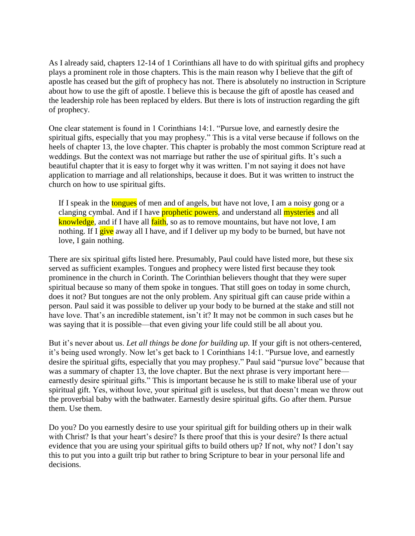As I already said, chapters 12-14 of 1 Corinthians all have to do with spiritual gifts and prophecy plays a prominent role in those chapters. This is the main reason why I believe that the gift of apostle has ceased but the gift of prophecy has not. There is absolutely no instruction in Scripture about how to use the gift of apostle. I believe this is because the gift of apostle has ceased and the leadership role has been replaced by elders. But there is lots of instruction regarding the gift of prophecy.

One clear statement is found in 1 Corinthians 14:1. "Pursue love, and earnestly desire the spiritual gifts, especially that you may prophesy." This is a vital verse because if follows on the heels of chapter 13, the love chapter. This chapter is probably the most common Scripture read at weddings. But the context was not marriage but rather the use of spiritual gifts. It's such a beautiful chapter that it is easy to forget why it was written. I'm not saying it does not have application to marriage and all relationships, because it does. But it was written to instruct the church on how to use spiritual gifts.

If I speak in the **tongues** of men and of angels, but have not love, I am a noisy gong or a clanging cymbal. And if I have **prophetic powers**, and understand all **mysteries** and all knowledge, and if I have all faith, so as to remove mountains, but have not love, I am nothing. If I give away all I have, and if I deliver up my body to be burned, but have not love, I gain nothing.

There are six spiritual gifts listed here. Presumably, Paul could have listed more, but these six served as sufficient examples. Tongues and prophecy were listed first because they took prominence in the church in Corinth. The Corinthian believers thought that they were super spiritual because so many of them spoke in tongues. That still goes on today in some church, does it not? But tongues are not the only problem. Any spiritual gift can cause pride within a person. Paul said it was possible to deliver up your body to be burned at the stake and still not have love. That's an incredible statement, isn't it? It may not be common in such cases but he was saying that it is possible—that even giving your life could still be all about you.

But it's never about us. *Let all things be done for building up.* If your gift is not others-centered, it's being used wrongly. Now let's get back to 1 Corinthians 14:1. "Pursue love, and earnestly desire the spiritual gifts, especially that you may prophesy." Paul said "pursue love" because that was a summary of chapter 13, the love chapter. But the next phrase is very important here earnestly desire spiritual gifts." This is important because he is still to make liberal use of your spiritual gift. Yes, without love, your spiritual gift is useless, but that doesn't mean we throw out the proverbial baby with the bathwater. Earnestly desire spiritual gifts. Go after them. Pursue them. Use them.

Do you? Do you earnestly desire to use your spiritual gift for building others up in their walk with Christ? Is that your heart's desire? Is there proof that this is your desire? Is there actual evidence that you are using your spiritual gifts to build others up? If not, why not? I don't say this to put you into a guilt trip but rather to bring Scripture to bear in your personal life and decisions.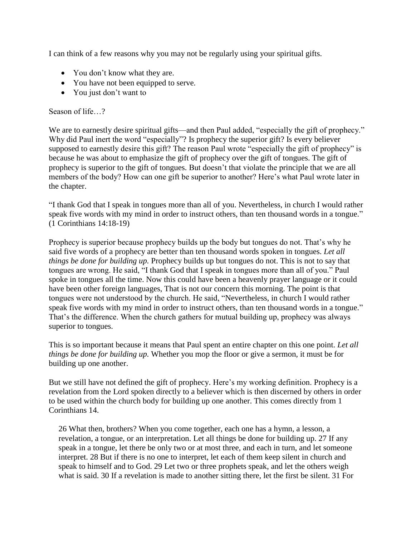I can think of a few reasons why you may not be regularly using your spiritual gifts.

- You don't know what they are.
- You have not been equipped to serve.
- You just don't want to

## Season of life…?

We are to earnestly desire spiritual gifts—and then Paul added, "especially the gift of prophecy." Why did Paul inert the word "especially"? Is prophecy the superior gift? Is every believer supposed to earnestly desire this gift? The reason Paul wrote "especially the gift of prophecy" is because he was about to emphasize the gift of prophecy over the gift of tongues. The gift of prophecy is superior to the gift of tongues. But doesn't that violate the principle that we are all members of the body? How can one gift be superior to another? Here's what Paul wrote later in the chapter.

"I thank God that I speak in tongues more than all of you. Nevertheless, in church I would rather speak five words with my mind in order to instruct others, than ten thousand words in a tongue." (1 Corinthians 14:18-19)

Prophecy is superior because prophecy builds up the body but tongues do not. That's why he said five words of a prophecy are better than ten thousand words spoken in tongues. *Let all things be done for building up.* Prophecy builds up but tongues do not. This is not to say that tongues are wrong. He said, "I thank God that I speak in tongues more than all of you." Paul spoke in tongues all the time. Now this could have been a heavenly prayer language or it could have been other foreign languages, That is not our concern this morning. The point is that tongues were not understood by the church. He said, "Nevertheless, in church I would rather speak five words with my mind in order to instruct others, than ten thousand words in a tongue." That's the difference. When the church gathers for mutual building up, prophecy was always superior to tongues.

This is so important because it means that Paul spent an entire chapter on this one point. *Let all things be done for building up.* Whether you mop the floor or give a sermon, it must be for building up one another.

But we still have not defined the gift of prophecy. Here's my working definition. Prophecy is a revelation from the Lord spoken directly to a believer which is then discerned by others in order to be used within the church body for building up one another. This comes directly from 1 Corinthians 14.

26 What then, brothers? When you come together, each one has a hymn, a lesson, a revelation, a tongue, or an interpretation. Let all things be done for building up. 27 If any speak in a tongue, let there be only two or at most three, and each in turn, and let someone interpret. 28 But if there is no one to interpret, let each of them keep silent in church and speak to himself and to God. 29 Let two or three prophets speak, and let the others weigh what is said. 30 If a revelation is made to another sitting there, let the first be silent. 31 For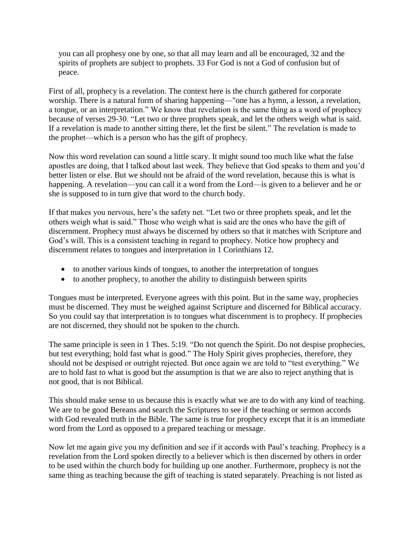you can all prophesy one by one, so that all may learn and all be encouraged, 32 and the spirits of prophets are subject to prophets. 33 For God is not a God of confusion but of peace.

First of all, prophecy is a revelation. The context here is the church gathered for corporate worship. There is a natural form of sharing happening—"one has a hymn, a lesson, a revelation, a tongue, or an interpretation." We know that revelation is the same thing as a word of prophecy because of verses 29-30. "Let two or three prophets speak, and let the others weigh what is said. If a revelation is made to another sitting there, let the first be silent." The revelation is made to the prophet—which is a person who has the gift of prophecy.

Now this word revelation can sound a little scary. It might sound too much like what the false apostles are doing, that I talked about last week. They believe that God speaks to them and you'd better listen or else. But we should not be afraid of the word revelation, because this is what is happening. A revelation—you can call it a word from the Lord—is given to a believer and he or she is supposed to in turn give that word to the church body.

If that makes you nervous, here's the safety net. "Let two or three prophets speak, and let the others weigh what is said." Those who weigh what is said are the ones who have the gift of discernment. Prophecy must always be discerned by others so that it matches with Scripture and God's will. This is a consistent teaching in regard to prophecy. Notice how prophecy and discernment relates to tongues and interpretation in 1 Corinthians 12.

- to another various kinds of tongues, to another the interpretation of tongues
- to another prophecy, to another the ability to distinguish between spirits

Tongues must be interpreted. Everyone agrees with this point. But in the same way, prophecies must be discerned. They must be weighed against Scripture and discerned for Biblical accuracy. So you could say that interpretation is to tongues what discernment is to prophecy. If prophecies are not discerned, they should not be spoken to the church.

The same principle is seen in 1 Thes. 5:19. "Do not quench the Spirit. Do not despise prophecies, but test everything; hold fast what is good." The Holy Spirit gives prophecies, therefore, they should not be despised or outright rejected. But once again we are told to "test everything." We are to hold fast to what is good but the assumption is that we are also to reject anything that is not good, that is not Biblical.

This should make sense to us because this is exactly what we are to do with any kind of teaching. We are to be good Bereans and search the Scriptures to see if the teaching or sermon accords with God revealed truth in the Bible. The same is true for prophecy except that it is an immediate word from the Lord as opposed to a prepared teaching or message.

Now let me again give you my definition and see if it accords with Paul's teaching. Prophecy is a revelation from the Lord spoken directly to a believer which is then discerned by others in order to be used within the church body for building up one another. Furthermore, prophecy is not the same thing as teaching because the gift of teaching is stated separately. Preaching is not listed as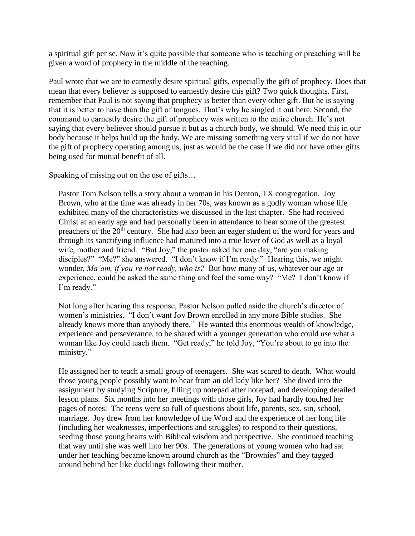a spiritual gift per se. Now it's quite possible that someone who is teaching or preaching will be given a word of prophecy in the middle of the teaching.

Paul wrote that we are to earnestly desire spiritual gifts, especially the gift of prophecy. Does that mean that every believer is supposed to earnestly desire this gift? Two quick thoughts. First, remember that Paul is not saying that prophecy is better than every other gift. But he is saying that it is better to have than the gift of tongues. That's why he singled it out here. Second, the command to earnestly desire the gift of prophecy was written to the entire church. He's not saying that every believer should pursue it but as a church body, we should. We need this in our body because it helps build up the body. We are missing something very vital if we do not have the gift of prophecy operating among us, just as would be the case if we did not have other gifts being used for mutual benefit of all.

Speaking of missing out on the use of gifts…

Pastor Tom Nelson tells a story about a woman in his Denton, TX congregation. Joy Brown, who at the time was already in her 70s, was known as a godly woman whose life exhibited many of the characteristics we discussed in the last chapter. She had received Christ at an early age and had personally been in attendance to hear some of the greatest preachers of the 20<sup>th</sup> century. She had also been an eager student of the word for years and through its sanctifying influence had matured into a true lover of God as well as a loyal wife, mother and friend. "But Joy," the pastor asked her one day, "are you making disciples?" "Me?" she answered. "I don't know if I'm ready." Hearing this, we might wonder, *Ma'am, if you're not ready, who is?* But how many of us, whatever our age or experience, could be asked the same thing and feel the same way? "Me? I don't know if I'm ready."

Not long after hearing this response, Pastor Nelson pulled aside the church's director of women's ministries. "I don't want Joy Brown enrolled in any more Bible studies. She already knows more than anybody there." He wanted this enormous wealth of knowledge, experience and perseverance, to be shared with a younger generation who could use what a woman like Joy could teach them. "Get ready," he told Joy, "You're about to go into the ministry."

He assigned her to teach a small group of teenagers. She was scared to death. What would those young people possibly want to hear from an old lady like her? She dived into the assignment by studying Scripture, filling up notepad after notepad, and developing detailed lesson plans. Six months into her meetings with those girls, Joy had hardly touched her pages of notes. The teens were so full of questions about life, parents, sex, sin, school, marriage. Joy drew from her knowledge of the Word and the experience of her long life (including her weaknesses, imperfections and struggles) to respond to their questions, seeding those young hearts with Biblical wisdom and perspective. She continued teaching that way until she was well into her 90s. The generations of young women who had sat under her teaching became known around church as the "Brownies" and they tagged around behind her like ducklings following their mother.